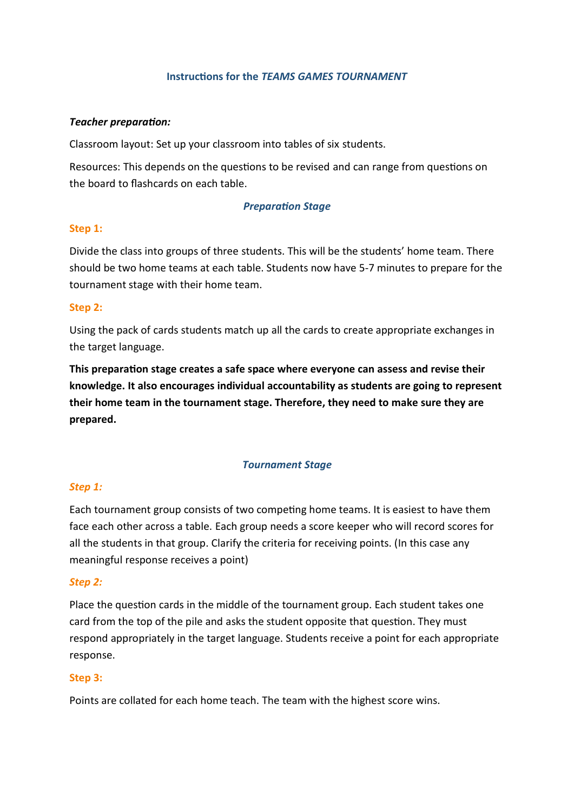# **Instructions for the** *TEAMS GAMES TOURNAMENT*

## *Teacher preparation:*

Classroom layout: Set up your classroom into tables of six students.

Resources: This depends on the questions to be revised and can range from questions on the board to flashcards on each table.

## *Preparation Stage*

## **Step 1:**

Divide the class into groups of three students. This will be the students' home team. There should be two home teams at each table. Students now have 5-7 minutes to prepare for the tournament stage with their home team.

## **Step 2:**

Using the pack of cards students match up all the cards to create appropriate exchanges in the target language.

**This preparation stage creates a safe space where everyone can assess and revise their knowledge. It also encourages individual accountability as students are going to represent their home team in the tournament stage. Therefore, they need to make sure they are prepared.** 

#### *Tournament Stage*

#### *Step 1:*

Each tournament group consists of two competing home teams. It is easiest to have them face each other across a table. Each group needs a score keeper who will record scores for all the students in that group. Clarify the criteria for receiving points. (In this case any meaningful response receives a point)

#### *Step 2:*

Place the question cards in the middle of the tournament group. Each student takes one card from the top of the pile and asks the student opposite that question. They must respond appropriately in the target language. Students receive a point for each appropriate response.

## **Step 3:**

Points are collated for each home teach. The team with the highest score wins.